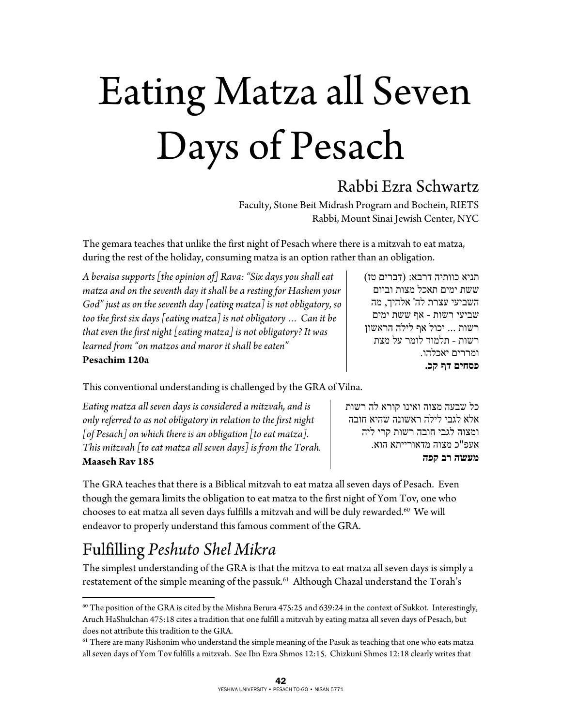# Eating Matza all Seven Days of Pesach

## Rabbi Ezra Schwartz

Faculty, Stone Beit Midrash Program and Bochein, RIETS Rabbi, Mount Sinai Jewish Center, NYC

The gemara teaches that unlike the first night of Pesach where there is a mitzvah to eat matza, during the rest of the holiday, consuming matza is an option rather than an obligation.

*A beraisa supports [the opinion of] Rava: "Six days you shall eat matza and on the seventh day it shall be a resting for Hashem your God" just as on the seventh day [eating matza] is not obligatory, so too the first six days [eating matza] is not obligatory … Can it be that even the first night [eating matza] is not obligatory? It was learned from "on matzos and maror it shall be eaten"*  **Pesachim 120a** 

תניא כוותיה דרבא: (דברים טז) ששת ימים תאכל מצות וביום השביעי עצרת לה' אלהיך , מה שביעי רשות - אף ששת ימים רשות . .. יכול אף לילה הראשון רשות - תלמוד לומר על מצת ומררים יאכלהו. **פסחים דף קכ.**

This conventional understanding is challenged by the GRA of Vilna.

*Eating matza all seven days is considered a mitzvah, and is only referred to as not obligatory in relation to the first night [of Pesach] on which there is an obligation [to eat matza]. This mitzvah [to eat matza all seven days] is from the Torah.*  **Maaseh Rav 185** 

כל שבעה מצוה ואינו קורא לה רשות אלא לגבי לילה ראשונה שהיא חובה ומצוה לגבי חובה רשות קרי ליה אעפ"כ מצוה מדאורייתא הוא. **מעשה רב קפה**

The GRA teaches that there is a Biblical mitzvah to eat matza all seven days of Pesach. Even though the gemara limits the obligation to eat matza to the first night of Yom Tov, one who chooses to eat matza all seven days fulfills a mitzvah and will be duly rewarded. $^{60}$  We will endeavor to properly understand this famous comment of the GRA.

## Fulfilling *Peshuto Shel Mikra*

 $\overline{a}$ 

The simplest understanding of the GRA is that the mitzva to eat matza all seven days is simply a restatement of the simple meaning of the passuk.<sup>61</sup> Although Chazal understand the Torah's

 $60$  The position of the GRA is cited by the Mishna Berura 475:25 and 639:24 in the context of Sukkot. Interestingly, Aruch HaShulchan 475:18 cites a tradition that one fulfill a mitzvah by eating matza all seven days of Pesach, but does not attribute this tradition to the GRA.

 $61$  There are many Rishonim who understand the simple meaning of the Pasuk as teaching that one who eats matza all seven days of Yom Tov fulfills a mitzvah. See Ibn Ezra Shmos 12:15. Chizkuni Shmos 12:18 clearly writes that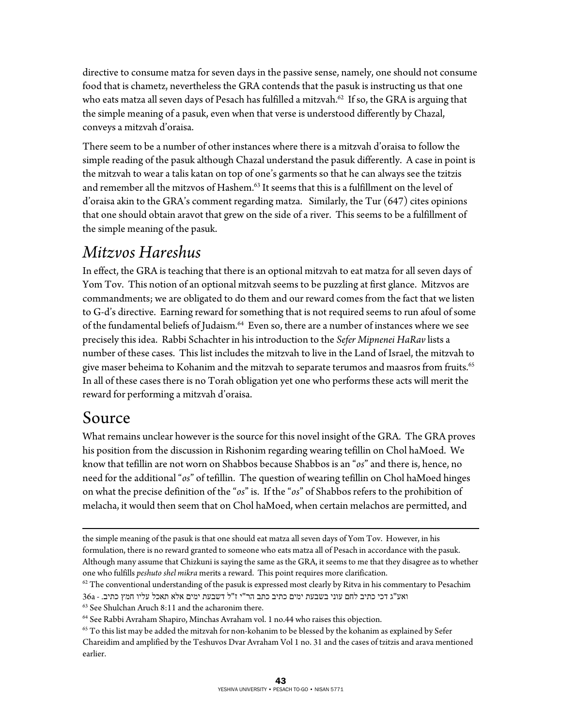directive to consume matza for seven days in the passive sense, namely, one should not consume food that is chametz, nevertheless the GRA contends that the pasuk is instructing us that one who eats matza all seven days of Pesach has fulfilled a mitzvah. $62$  If so, the GRA is arguing that the simple meaning of a pasuk, even when that verse is understood differently by Chazal, conveys a mitzvah d'oraisa.

There seem to be a number of other instances where there is a mitzvah d'oraisa to follow the simple reading of the pasuk although Chazal understand the pasuk differently. A case in point is the mitzvah to wear a talis katan on top of one's garments so that he can always see the tzitzis and remember all the mitzvos of Hashem.<sup>63</sup> It seems that this is a fulfillment on the level of d'oraisa akin to the GRA's comment regarding matza. Similarly, the Tur (647) cites opinions that one should obtain aravot that grew on the side of a river. This seems to be a fulfillment of the simple meaning of the pasuk.

## *Mitzvos Hareshus*

In effect, the GRA is teaching that there is an optional mitzvah to eat matza for all seven days of Yom Tov. This notion of an optional mitzvah seems to be puzzling at first glance. Mitzvos are commandments; we are obligated to do them and our reward comes from the fact that we listen to G-d's directive. Earning reward for something that is not required seems to run afoul of some of the fundamental beliefs of Judaism.<sup>64</sup> Even so, there are a number of instances where we see precisely this idea. Rabbi Schachter in his introduction to the *Sefer Mipnenei HaRav* lists a number of these cases. This list includes the mitzvah to live in the Land of Israel, the mitzvah to give maser beheima to Kohanim and the mitzvah to separate terumos and maasros from fruits.<sup>65</sup> In all of these cases there is no Torah obligation yet one who performs these acts will merit the reward for performing a mitzvah d'oraisa.

## Source

 $\overline{a}$ 

What remains unclear however is the source for this novel insight of the GRA. The GRA proves his position from the discussion in Rishonim regarding wearing tefillin on Chol haMoed. We know that tefillin are not worn on Shabbos because Shabbos is an "*os*" and there is, hence, no need for the additional "*os*" of tefillin. The question of wearing tefillin on Chol haMoed hinges on what the precise definition of the "*os*" is. If the "*os*" of Shabbos refers to the prohibition of melacha, it would then seem that on Chol haMoed, when certain melachos are permitted, and

the simple meaning of the pasuk is that one should eat matza all seven days of Yom Tov. However, in his formulation, there is no reward granted to someone who eats matza all of Pesach in accordance with the pasuk. Although many assume that Chizkuni is saying the same as the GRA, it seems to me that they disagree as to whether one who fulfills *peshuto shel mikra* merits a reward. This point requires more clarification.<br><sup>62</sup> The conventional understanding of the pasuk is expressed most clearly by Ritva in his commentary to Pesachim

ואע"ג דכי כתיב לחם עוני בשבעת ימים לחשבעת ימים אלא האכל עליו חמץ כתיב. - 36<br/>a $\cdot$  11 and the acharonim there.

<sup>64</sup> See Rabbi Avraham Shapiro, Minchas Avraham vol. 1 no.44 who raises this objection.

 $65$  To this list may be added the mitzvah for non-kohanim to be blessed by the kohanim as explained by Sefer Chareidim and amplified by the Teshuvos Dvar Avraham Vol 1 no. 31 and the cases of tzitzis and arava mentioned earlier.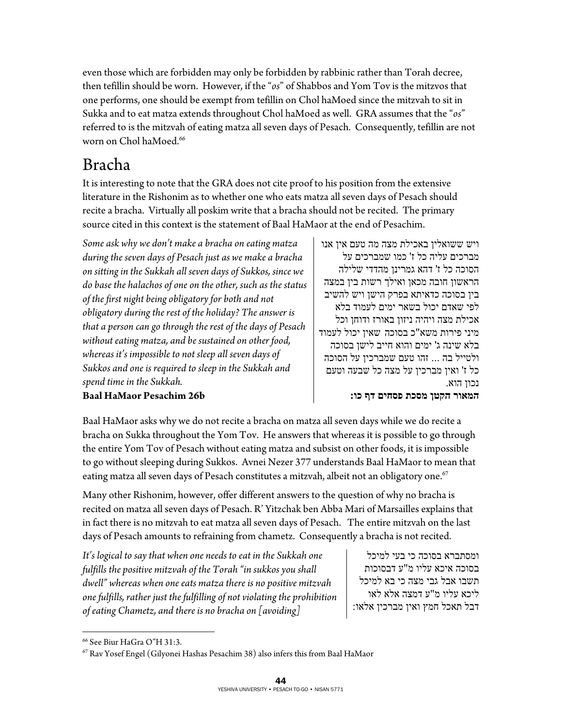even those which are forbidden may only be forbidden by rabbinic rather than Torah decree, then tefillin should be worn. However, if the "*os*" of Shabbos and Yom Tov is the mitzvos that one performs, one should be exempt from tefillin on Chol haMoed since the mitzvah to sit in Sukka and to eat matza extends throughout Chol haMoed as well. GRA assumes that the "*os*" referred to is the mitzvah of eating matza all seven days of Pesach. Consequently, tefillin are not worn on Chol haMoed.<sup>66</sup>

## Bracha

It is interesting to note that the GRA does not cite proof to his position from the extensive literature in the Rishonim as to whether one who eats matza all seven days of Pesach should recite a bracha. Virtually all poskim write that a bracha should not be recited. The primary source cited in this context is the statement of Baal HaMaor at the end of Pesachim.

*Some ask why we don't make a bracha on eating matza during the seven days of Pesach just as we make a bracha on sitting in the Sukkah all seven days of Sukkos, since we do base the halachos of one on the other, such as the status of the first night being obligatory for both and not obligatory during the rest of the holiday? The answer is that a person can go through the rest of the days of Pesach without eating matza, and be sustained on other food, whereas it's impossible to not sleep all seven days of Sukkos and one is required to sleep in the Sukkah and spend time in the Sukkah.* 

ויש ששואלין באכילת מצה מה טעם אין אנו מברכים עליה כל ז' כמו שמברכים על הסוכה כל ז' דהא גמרינן מהדדי שלילה הראשון חובה מכאן ואילך רשות בין במצה בין בסוכה כדאיתא בפרק הישן ויש להשיב לפי שאדם יכול בשאר ימים לעמוד בלא אכילת מצה ויהיה ניזון באורז ודוחן וכל מיני פירות משא"כ בסוכה שאין יכול לעמוד בלא שינה ג' ימים והוא חייב לישן בסוכה ולטייל בה ... זהו טעם שמברכין על הסוכה כל ז' ואין מברכין על מצה כל שבעה וטעם נכון הוא. **המאור הקטן מסכת פסחים דף כו:**

### **Baal HaMaor Pesachim 26b**

Baal HaMaor asks why we do not recite a bracha on matza all seven days while we do recite a bracha on Sukka throughout the Yom Tov. He answers that whereas it is possible to go through the entire Yom Tov of Pesach without eating matza and subsist on other foods, it is impossible to go without sleeping during Sukkos. Avnei Nezer 377 understands Baal HaMaor to mean that eating matza all seven days of Pesach constitutes a mitzvah, albeit not an obligatory one.<sup>67</sup>

Many other Rishonim, however, offer different answers to the question of why no bracha is recited on matza all seven days of Pesach. R' Yitzchak ben Abba Mari of Marsailles explains that in fact there is no mitzvah to eat matza all seven days of Pesach. The entire mitzvah on the last days of Pesach amounts to refraining from chametz. Consequently a bracha is not recited.

*It's logical to say that when one needs to eat in the Sukkah one fulfills the positive mitzvah of the Torah "in sukkos you shall dwell" whereas when one eats matza there is no positive mitzvah one fulfills, rather just the fulfilling of not violating the prohibition of eating Chametz, and there is no bracha on [avoiding]* 

ומסתברא בסוכה כי בעי למיכל בסוכה איכא עליו מ "ע דבסוכות תשבו אבל גבי מצה כי בא למיכל ליכא עליו מ"ע דמצה אלא לאו דבל תאכל חמץ ואין מברכין אלאו:

 $\overline{a}$ 

<sup>66</sup> See Biur HaGra O"H 31:3.

<sup>67</sup> Rav Yosef Engel (Gilyonei Hashas Pesachim 38) also infers this from Baal HaMaor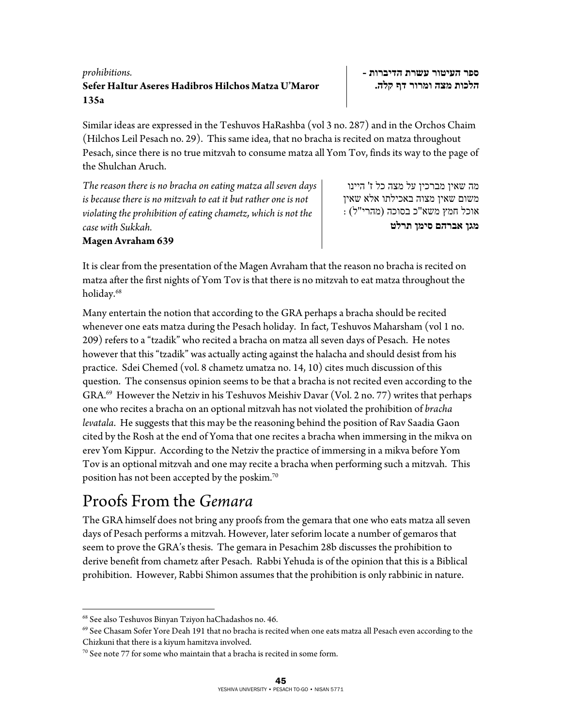#### 45 YESHIVA UNIVERSITY • PESACH TO-GO • NISAN 5771

#### *prohibitions.*  **Sefer HaItur Aseres Hadibros Hilchos Matza U'Maror 135a**

Similar ideas are expressed in the Teshuvos HaRashba (vol 3 no. 287) and in the Orchos Chaim (Hilchos Leil Pesach no. 29). This same idea, that no bracha is recited on matza throughout Pesach, since there is no true mitzvah to consume matza all Yom Tov, finds its way to the page of the Shulchan Aruch.

*The reason there is no bracha on eating matza all seven days is because there is no mitzvah to eat it but rather one is not violating the prohibition of eating chametz, which is not the case with Sukkah.* 

**Magen Avraham 639** 

It is clear from the presentation of the Magen Avraham that the reason no bracha is recited on matza after the first nights of Yom Tov is that there is no mitzvah to eat matza throughout the holiday.<sup>68</sup>

Many entertain the notion that according to the GRA perhaps a bracha should be recited whenever one eats matza during the Pesach holiday. In fact, Teshuvos Maharsham (vol 1 no. 209) refers to a "tzadik" who recited a bracha on matza all seven days of Pesach. He notes however that this "tzadik" was actually acting against the halacha and should desist from his practice. Sdei Chemed (vol. 8 chametz umatza no. 14, 10) cites much discussion of this question. The consensus opinion seems to be that a bracha is not recited even according to the  $GRA<sup>69</sup>$  However the Netziv in his Teshuvos Meishiv Davar (Vol. 2 no. 77) writes that perhaps one who recites a bracha on an optional mitzvah has not violated the prohibition of *bracha levatala*. He suggests that this may be the reasoning behind the position of Rav Saadia Gaon cited by the Rosh at the end of Yoma that one recites a bracha when immersing in the mikva on erev Yom Kippur. According to the Netziv the practice of immersing in a mikva before Yom Tov is an optional mitzvah and one may recite a bracha when performing such a mitzvah. This position has not been accepted by the poskim.70

## Proofs From the *Gemara*

The GRA himself does not bring any proofs from the gemara that one who eats matza all seven days of Pesach performs a mitzvah. However, later seforim locate a number of gemaros that seem to prove the GRA's thesis. The gemara in Pesachim 28b discusses the prohibition to derive benefit from chametz after Pesach. Rabbi Yehuda is of the opinion that this is a Biblical prohibition. However, Rabbi Shimon assumes that the prohibition is only rabbinic in nature.

 $\overline{a}$ 

**ספר העיטור עשרת הדיברות - הלכות מצה ומרור דף קלה.** 

אוכל חמץ משא "כ בסוכה (מהרי"ל) : **מגן אברהם סימן תרלט** 

מה שאין מברכין על מצה כל ז ' היינו משום שאין מצוה באכילתו אלא שאין

<sup>68</sup> See also Teshuvos Binyan Tziyon haChadashos no. 46.

<sup>&</sup>lt;sup>69</sup> See Chasam Sofer Yore Deah 191 that no bracha is recited when one eats matza all Pesach even according to the Chizkuni that there is a kiyum hamitzva involved.

 $70$  See note 77 for some who maintain that a bracha is recited in some form.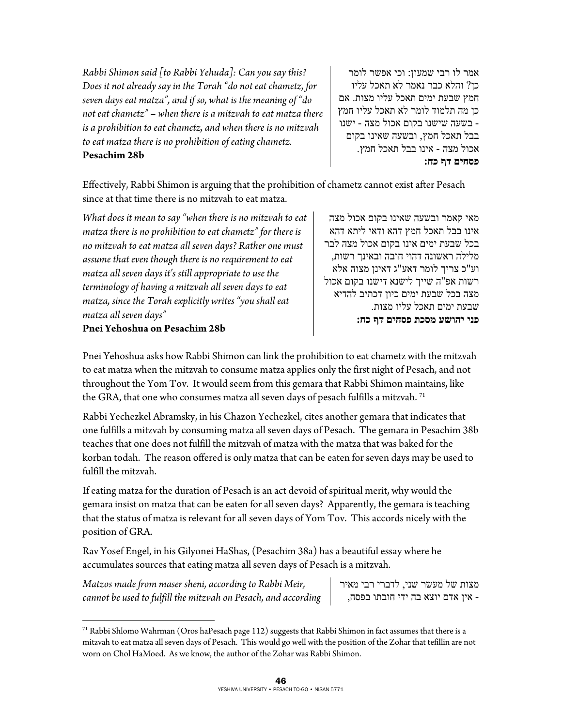*Rabbi Shimon said [to Rabbi Yehuda]: Can you say this? Does it not already say in the Torah "do not eat chametz, for seven days eat matza", and if so, what is the meaning of "do not eat chametz" – when there is a mitzvah to eat matza there is a prohibition to eat chametz, and when there is no mitzvah to eat matza there is no prohibition of eating chametz.*  **Pesachim 28b** 

אמר לו רבי שמעון: וכי אפשר לומר כן? והלא כבר נאמר לא תאכל עליו חמץ שבעת ימים תאכל עליו מצות . אם כן מה תלמוד לומר לא תאכל עליו חמץ - בשעה שישנו בקום אכול מצה - ישנו בבל תאכל חמץ, ובשעה שאינו בקום אכול מצה - אינו בבל תאכל חמץ. **פסחים : דף כח** 

Effectively, Rabbi Shimon is arguing that the prohibition of chametz cannot exist after Pesach since at that time there is no mitzvah to eat matza.

*What does it mean to say "when there is no mitzvah to eat matza there is no prohibition to eat chametz" for there is no mitzvah to eat matza all seven days? Rather one must assume that even though there is no requirement to eat matza all seven days it's still appropriate to use the terminology of having a mitzvah all seven days to eat matza, since the Torah explicitly writes "you shall eat matza all seven days"* 

מאי קאמר ובשעה שאינו בקום אכול מצה אינו בבל תאכל חמץ דהא ודאי ליתא דהא בכל שבעת ימים אינו בקום אכול מצה לבר מלילה ראשונה דהוי חובה ובאינך רשות, וע"כ צריך לומר דאע"ג דאינן מצוה אלא רשות אפ"ה שייך לישנא דישנו בקום אכול מצה בכל שבעת ימים כיון דכתיב להדיא שבעת ימים תאכל עליו מצות. **פני יהושע מסכת פסחים דף כח:** 

#### **Pnei Yehoshua on Pesachim 28b**

Pnei Yehoshua asks how Rabbi Shimon can link the prohibition to eat chametz with the mitzvah to eat matza when the mitzvah to consume matza applies only the first night of Pesach, and not throughout the Yom Tov. It would seem from this gemara that Rabbi Shimon maintains, like the GRA, that one who consumes matza all seven days of pesach fulfills a mitzvah.  $^{71}$ 

Rabbi Yechezkel Abramsky, in his Chazon Yechezkel, cites another gemara that indicates that one fulfills a mitzvah by consuming matza all seven days of Pesach. The gemara in Pesachim 38b teaches that one does not fulfill the mitzvah of matza with the matza that was baked for the korban todah. The reason offered is only matza that can be eaten for seven days may be used to fulfill the mitzvah.

If eating matza for the duration of Pesach is an act devoid of spiritual merit, why would the gemara insist on matza that can be eaten for all seven days? Apparently, the gemara is teaching that the status of matza is relevant for all seven days of Yom Tov. This accords nicely with the position of GRA.

Rav Yosef Engel, in his Gilyonei HaShas, (Pesachim 38a) has a beautiful essay where he accumulates sources that eating matza all seven days of Pesach is a mitzvah.

*Matzos made from maser sheni, according to Rabbi Meir, cannot be used to fulfill the mitzvah on Pesach, and according* 

 $\overline{a}$ 

מצות של מעשר שני, לדברי רבי מאיר - אין אדם יוצא בה ידי חובתו בפסח,

 $71$  Rabbi Shlomo Wahrman (Oros haPesach page 112) suggests that Rabbi Shimon in fact assumes that there is a mitzvah to eat matza all seven days of Pesach. This would go well with the position of the Zohar that tefillin are not worn on Chol HaMoed. As we know, the author of the Zohar was Rabbi Shimon.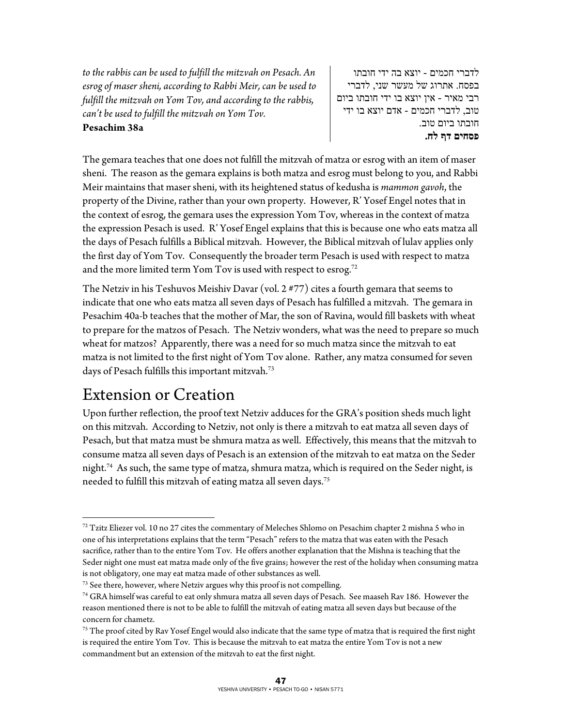*to the rabbis can be used to fulfill the mitzvah on Pesach. An esrog of maser sheni, according to Rabbi Meir, can be used to fulfill the mitzvah on Yom Tov, and according to the rabbis, can't be used to fulfill the mitzvah on Yom Tov.* 

#### **Pesachim 38a**

לדברי חכמים - יוצא בה ידי חובתו בפסח. אתרוג של מעשר שני , לדברי רבי מאיר - אין יוצא בו ידי חובתו ביום טוב, לדברי חכמים - אדם יוצא בו ידי חובתו ביום טוב. **פסחים דף לח.** 

The gemara teaches that one does not fulfill the mitzvah of matza or esrog with an item of maser sheni. The reason as the gemara explains is both matza and esrog must belong to you, and Rabbi Meir maintains that maser sheni, with its heightened status of kedusha is *mammon gavoh*, the property of the Divine, rather than your own property. However, R' Yosef Engel notes that in the context of esrog, the gemara uses the expression Yom Tov, whereas in the context of matza the expression Pesach is used. R' Yosef Engel explains that this is because one who eats matza all the days of Pesach fulfills a Biblical mitzvah. However, the Biblical mitzvah of lulav applies only the first day of Yom Tov. Consequently the broader term Pesach is used with respect to matza and the more limited term Yom Tov is used with respect to esrog.<sup>72</sup>

The Netziv in his Teshuvos Meishiv Davar (vol. 2 #77) cites a fourth gemara that seems to indicate that one who eats matza all seven days of Pesach has fulfilled a mitzvah. The gemara in Pesachim 40a-b teaches that the mother of Mar, the son of Ravina, would fill baskets with wheat to prepare for the matzos of Pesach. The Netziv wonders, what was the need to prepare so much wheat for matzos? Apparently, there was a need for so much matza since the mitzvah to eat matza is not limited to the first night of Yom Tov alone. Rather, any matza consumed for seven days of Pesach fulfills this important mitzvah.<sup>73</sup>

## Extension or Creation

 $\overline{a}$ 

Upon further reflection, the proof text Netziv adduces for the GRA's position sheds much light on this mitzvah. According to Netziv, not only is there a mitzvah to eat matza all seven days of Pesach, but that matza must be shmura matza as well. Effectively, this means that the mitzvah to consume matza all seven days of Pesach is an extension of the mitzvah to eat matza on the Seder night.<sup>74</sup> As such, the same type of matza, shmura matza, which is required on the Seder night, is needed to fulfill this mitzvah of eating matza all seven days.<sup>75</sup>

 $72$  Tzitz Eliezer vol. 10 no 27 cites the commentary of Meleches Shlomo on Pesachim chapter 2 mishna 5 who in one of his interpretations explains that the term "Pesach" refers to the matza that was eaten with the Pesach sacrifice, rather than to the entire Yom Tov. He offers another explanation that the Mishna is teaching that the Seder night one must eat matza made only of the five grains; however the rest of the holiday when consuming matza

is not obligatory, one may eat matza made of other substances as well.<br><sup>73</sup> See there, however, where Netziv argues why this proof is not compelling.<br><sup>74</sup> GRA himself was careful to eat only shmura matza all seven days of reason mentioned there is not to be able to fulfill the mitzvah of eating matza all seven days but because of the concern for chametz.

<sup>&</sup>lt;sup>75</sup> The proof cited by Rav Yosef Engel would also indicate that the same type of matza that is required the first night is required the entire Yom Tov. This is because the mitzvah to eat matza the entire Yom Tov is not a new commandment but an extension of the mitzvah to eat the first night.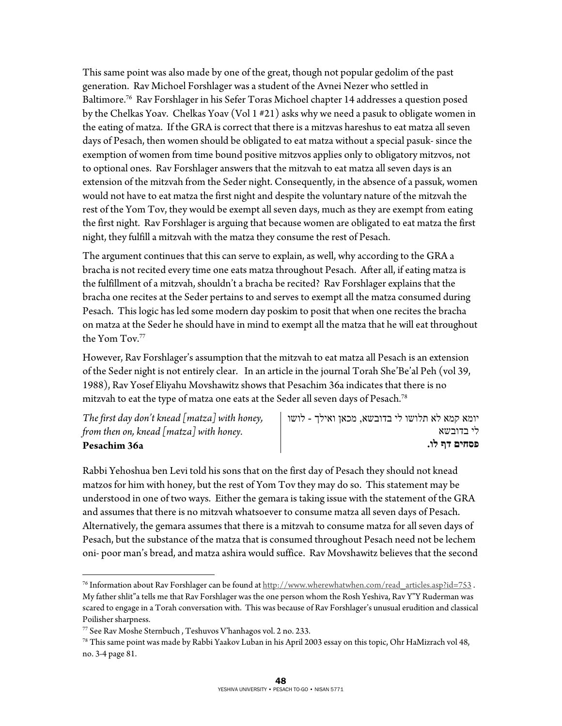This same point was also made by one of the great, though not popular gedolim of the past generation. Rav Michoel Forshlager was a student of the Avnei Nezer who settled in Baltimore.76 Rav Forshlager in his Sefer Toras Michoel chapter 14 addresses a question posed by the Chelkas Yoav. Chelkas Yoav (Vol 1 #21) asks why we need a pasuk to obligate women in the eating of matza. If the GRA is correct that there is a mitzvas hareshus to eat matza all seven days of Pesach, then women should be obligated to eat matza without a special pasuk- since the exemption of women from time bound positive mitzvos applies only to obligatory mitzvos, not to optional ones. Rav Forshlager answers that the mitzvah to eat matza all seven days is an extension of the mitzvah from the Seder night. Consequently, in the absence of a passuk, women would not have to eat matza the first night and despite the voluntary nature of the mitzvah the rest of the Yom Tov, they would be exempt all seven days, much as they are exempt from eating the first night. Rav Forshlager is arguing that because women are obligated to eat matza the first night, they fulfill a mitzvah with the matza they consume the rest of Pesach.

The argument continues that this can serve to explain, as well, why according to the GRA a bracha is not recited every time one eats matza throughout Pesach. After all, if eating matza is the fulfillment of a mitzvah, shouldn't a bracha be recited? Rav Forshlager explains that the bracha one recites at the Seder pertains to and serves to exempt all the matza consumed during Pesach. This logic has led some modern day poskim to posit that when one recites the bracha on matza at the Seder he should have in mind to exempt all the matza that he will eat throughout the Yom Tov.<sup>77</sup>

However, Rav Forshlager's assumption that the mitzvah to eat matza all Pesach is an extension of the Seder night is not entirely clear. In an article in the journal Torah She'Be'al Peh (vol 39, 1988), Rav Yosef Eliyahu Movshawitz shows that Pesachim 36a indicates that there is no mitzvah to eat the type of matza one eats at the Seder all seven days of Pesach.<sup>78</sup>

*The first day don't knead [matza] with honey, from then on, knead [matza] with honey.*  **Pesachim 36a** 

 $\overline{a}$ 

יומא קמא לא תלושו לי בדובשא , מכאן ואילך - לושו לי בדובשא **פסחים דף לו.** 

Rabbi Yehoshua ben Levi told his sons that on the first day of Pesach they should not knead matzos for him with honey, but the rest of Yom Tov they may do so. This statement may be understood in one of two ways. Either the gemara is taking issue with the statement of the GRA and assumes that there is no mitzvah whatsoever to consume matza all seven days of Pesach. Alternatively, the gemara assumes that there is a mitzvah to consume matza for all seven days of Pesach, but the substance of the matza that is consumed throughout Pesach need not be lechem oni- poor man's bread, and matza ashira would suffice. Rav Movshawitz believes that the second

<sup>&</sup>lt;sup>76</sup> Information about Rav Forshlager can be found at  $\frac{http://www.wherewhatwhen.com/read-articles.asp?id=753$ . My father shlit"a tells me that Rav Forshlager was the one person whom the Rosh Yeshiva, Rav Y"Y Ruderman was scared to engage in a Torah conversation with. This was because of Rav Forshlager's unusual erudition and classical Poilisher sharpness.

<sup>&</sup>lt;sup>77</sup> See Rav Moshe Sternbuch , Teshuvos V'hanhagos vol. 2 no. 233.<br><sup>78</sup> This same point was made by Rabbi Yaakov Luban in his April 2003 essay on this topic, Ohr HaMizrach vol 48, no. 3-4 page 81.